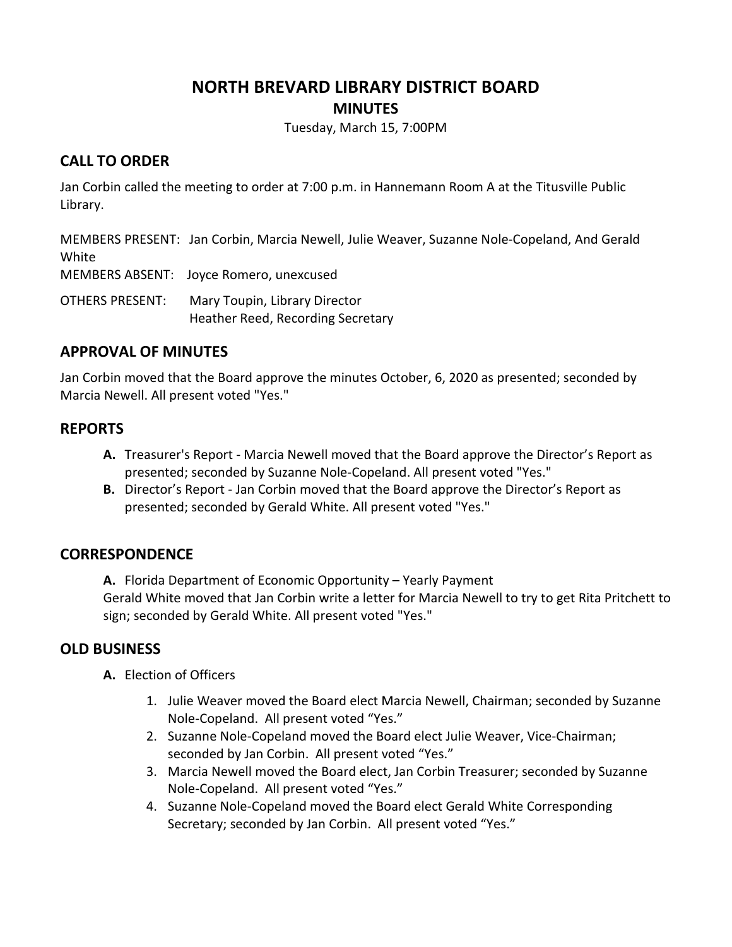# **NORTH BREVARD LIBRARY DISTRICT BOARD MINUTES**

Tuesday, March 15, 7:00PM

#### **CALL TO ORDER**

Jan Corbin called the meeting to order at 7:00 p.m. in Hannemann Room A at the Titusville Public Library.

MEMBERS PRESENT: Jan Corbin, Marcia Newell, Julie Weaver, Suzanne Nole-Copeland, And Gerald White

MEMBERS ABSENT: Joyce Romero, unexcused

OTHERS PRESENT: Mary Toupin, Library Director Heather Reed, Recording Secretary

# **APPROVAL OF MINUTES**

Jan Corbin moved that the Board approve the minutes October, 6, 2020 as presented; seconded by Marcia Newell. All present voted "Yes."

# **REPORTS**

- **A.** Treasurer's Report Marcia Newell moved that the Board approve the Director's Report as presented; seconded by Suzanne Nole-Copeland. All present voted "Yes."
- **B.** Director's Report Jan Corbin moved that the Board approve the Director's Report as presented; seconded by Gerald White. All present voted "Yes."

# **CORRESPONDENCE**

**A.** Florida Department of Economic Opportunity – Yearly Payment Gerald White moved that Jan Corbin write a letter for Marcia Newell to try to get Rita Pritchett to sign; seconded by Gerald White. All present voted "Yes."

#### **OLD BUSINESS**

**A.** Election of Officers

- 1. Julie Weaver moved the Board elect Marcia Newell, Chairman; seconded by Suzanne Nole-Copeland. All present voted "Yes."
- 2. Suzanne Nole-Copeland moved the Board elect Julie Weaver, Vice-Chairman; seconded by Jan Corbin. All present voted "Yes."
- 3. Marcia Newell moved the Board elect, Jan Corbin Treasurer; seconded by Suzanne Nole-Copeland. All present voted "Yes."
- 4. Suzanne Nole-Copeland moved the Board elect Gerald White Corresponding Secretary; seconded by Jan Corbin. All present voted "Yes."